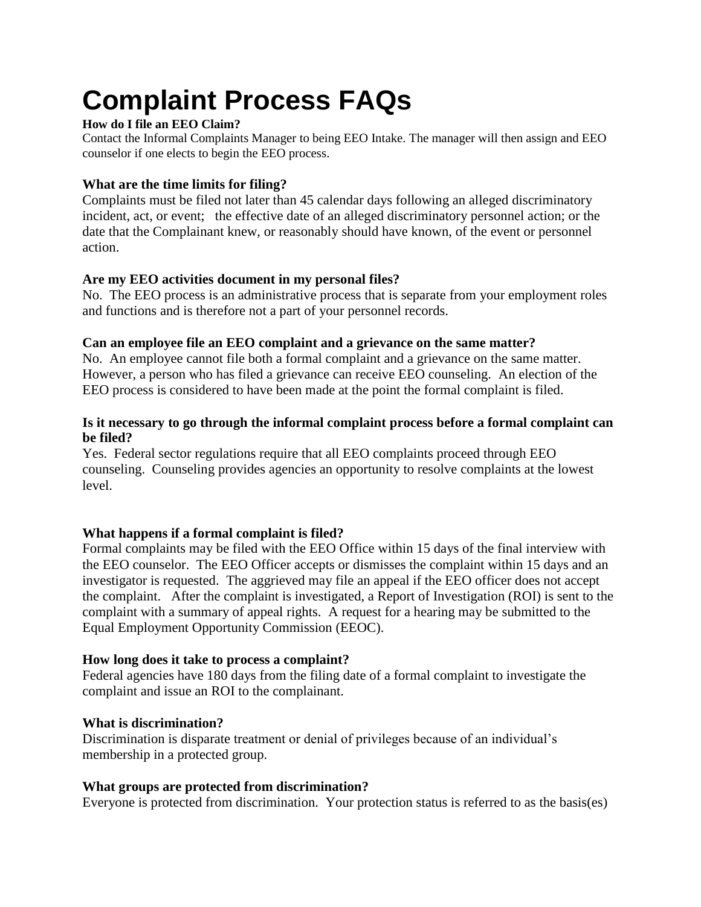# **Complaint Process FAQs**

# **How do I file an EEO Claim?**

Contact the Informal Complaints Manager to being EEO Intake. The manager will then assign and EEO counselor if one elects to begin the EEO process.

#### **What are the time limits for filing?**

Complaints must be filed not later than 45 calendar days following an alleged discriminatory incident, act, or event; the effective date of an alleged discriminatory personnel action; or the date that the Complainant knew, or reasonably should have known, of the event or personnel action.

# **Are my EEO activities document in my personal files?**

No. The EEO process is an administrative process that is separate from your employment roles and functions and is therefore not a part of your personnel records.

#### **Can an employee file an EEO complaint and a grievance on the same matter?**

No. An employee cannot file both a formal complaint and a grievance on the same matter. However, a person who has filed a grievance can receive EEO counseling. An election of the EEO process is considered to have been made at the point the formal complaint is filed.

#### **Is it necessary to go through the informal complaint process before a formal complaint can be filed?**

Yes. Federal sector regulations require that all EEO complaints proceed through EEO counseling. Counseling provides agencies an opportunity to resolve complaints at the lowest level.

# **What happens if a formal complaint is filed?**

Formal complaints may be filed with the EEO Office within 15 days of the final interview with the EEO counselor. The EEO Officer accepts or dismisses the complaint within 15 days and an investigator is requested. The aggrieved may file an appeal if the EEO officer does not accept the complaint. After the complaint is investigated, a Report of Investigation (ROI) is sent to the complaint with a summary of appeal rights. A request for a hearing may be submitted to the Equal Employment Opportunity Commission (EEOC).

# **How long does it take to process a complaint?**

Federal agencies have 180 days from the filing date of a formal complaint to investigate the complaint and issue an ROI to the complainant.

# **What is discrimination?**

Discrimination is disparate treatment or denial of privileges because of an individual's membership in a protected group.

# **What groups are protected from discrimination?**

Everyone is protected from discrimination. Your protection status is referred to as the basis(es)